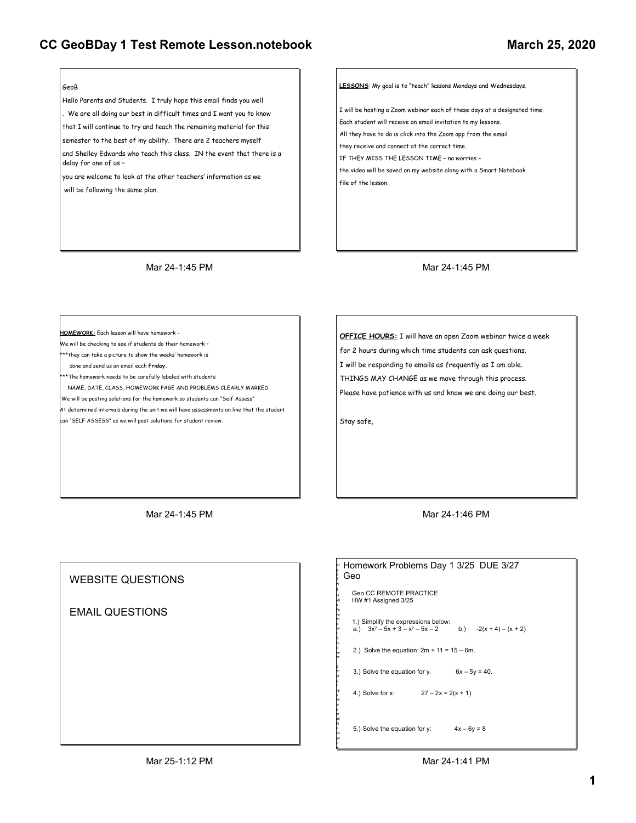## GeoB

Hello Parents and Students. I truly hope this email finds you well . We are all doing our best in difficult times and I want you to know that I will continue to try and teach the remaining material for this semester to the best of my ability. There are 2 teachers myself and Shelley Edwards who teach this class. IN the event that there is a delay for one of us –

you are welcome to look at the other teachers' information as we will be following the same plan.

LESSONS: My goal is to "teach" lessons Mondays and Wednesdays.

I will be hosting a Zoom webinar each of these days at a designated time. Each student will receive an email invitation to my lessons. All they have to do is click into the Zoom app from the email they receive and connect at the correct time. IF THEY MISS THE LESSON TIME – no worries – the video will be saved on my website along with a Smart Notebook file of the lesson.

Mar 24-1:45 PM

Mar 24-1:45 PM

HOMEWORK: Each lesson will have homework -

- We will be checking to see if students do their homework –
- \*\*\*they can take a picture to show the weeks· homework is
- done and send us an email each Friday.

\*\*\*The homework needs to be carefully labeled with students

NAME, DATE, CLASS, HOMEWORK PAGE AND PROBLEMS CLEARLY MARKED.

We will be posting solutions for the homework so students can "Self Assess"

At determined intervals during the unit we will have assessments on line that the student can "SELF ASSESS" as we will post solutions for student review.

OFFICE HOURS: I will have an open Zoom webinar twice a week for 2 hours during which time students can ask questions. I will be responding to emails as frequently as I am able. THINGS MAY CHANGE as we move through this process. Please have patience with us and know we are doing our best.

Stay safe,

g 2 T ri g H

o

s

d S

d

. I

ul y h

e

e

fi n

u w

Mar 24-1:45 PM

WEBSITE QUESTIONS

EMAIL QUESTIONS

Al ell Pa re nt an tu en ts tr op th is m ail ds yo Geo CC REMOTE PRACTICE HW #1 Assigned 3/25 1.) Simplify the expressions below:<br>a.)  $3x^2 - 5x + 3 - x^2 - 5x - 2$ b.)  $-2(x + 4) - (x + 2)$ 2.) Solve the equation:  $2m + 11 = 15 - 6m$ . 3.) Solve the equation for y.  $6x - 5y = 40$ . 4.) Solve for x:  $27 - 2x = 2(x + 1)$ 5.) Solve the equation for y:  $4x - 6y = 8$ Homework Problems Day 1 3/25 DUE 3/27 Geo

Mar 24-1:46 PM

Mar 24-1:41 PM